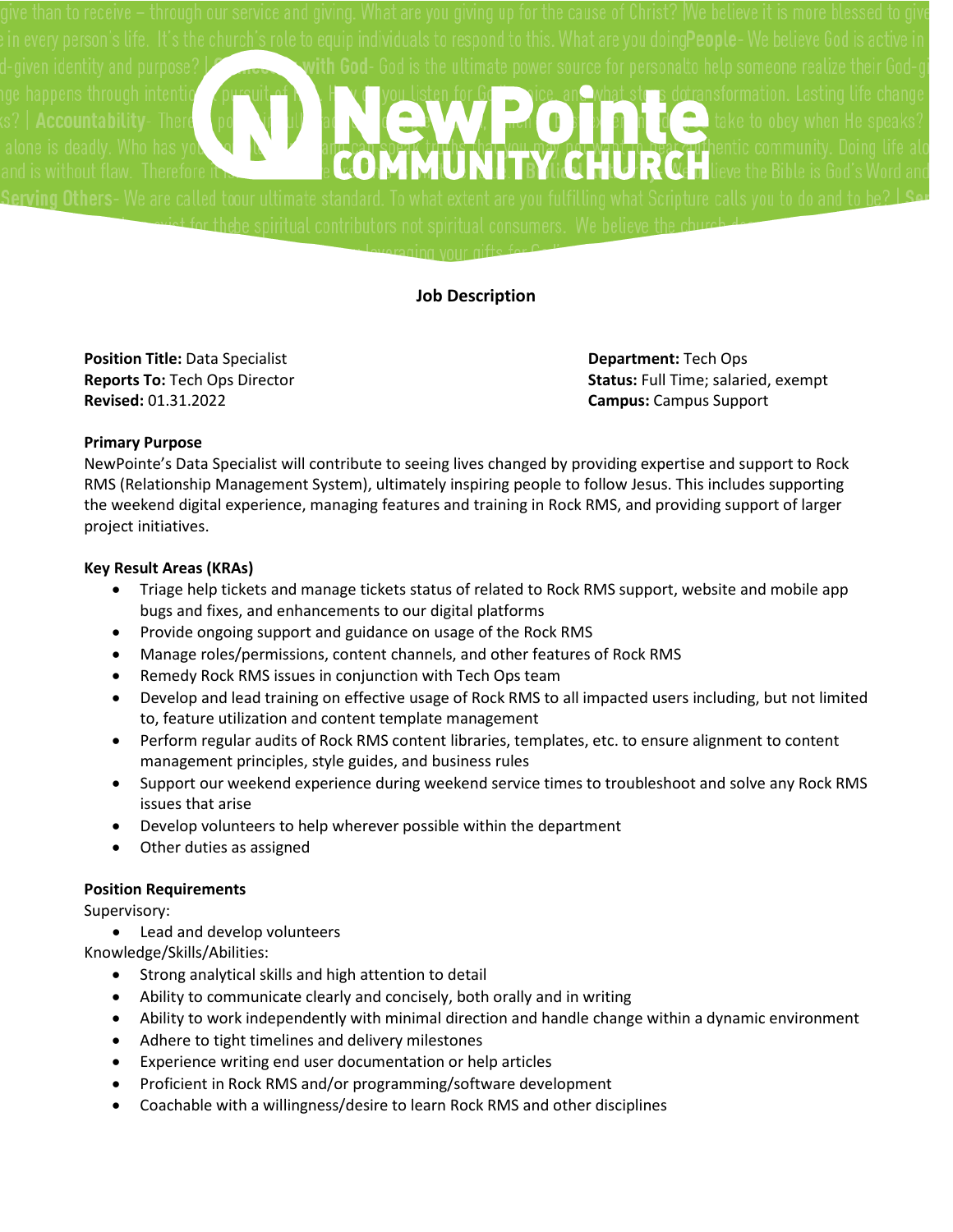

## **Job Description**

**Position Title:** Data Specialist **Department:** Tech Ops **Revised:** 01.31.2022 **Campus:** Campus Support

**Reports To:** Tech Ops Director **Status:** Full Time; salaried, exempt

### **Primary Purpose**

NewPointe's Data Specialist will contribute to seeing lives changed by providing expertise and support to Rock RMS (Relationship Management System), ultimately inspiring people to follow Jesus. This includes supporting the weekend digital experience, managing features and training in Rock RMS, and providing support of larger project initiatives.

### **Key Result Areas (KRAs)**

- Triage help tickets and manage tickets status of related to Rock RMS support, website and mobile app bugs and fixes, and enhancements to our digital platforms
- Provide ongoing support and guidance on usage of the Rock RMS
- Manage roles/permissions, content channels, and other features of Rock RMS
- Remedy Rock RMS issues in conjunction with Tech Ops team
- Develop and lead training on effective usage of Rock RMS to all impacted users including, but not limited to, feature utilization and content template management
- Perform regular audits of Rock RMS content libraries, templates, etc. to ensure alignment to content management principles, style guides, and business rules
- Support our weekend experience during weekend service times to troubleshoot and solve any Rock RMS issues that arise
- Develop volunteers to help wherever possible within the department
- Other duties as assigned

### **Position Requirements**

Supervisory:

• Lead and develop volunteers

Knowledge/Skills/Abilities:

- Strong analytical skills and high attention to detail
- Ability to communicate clearly and concisely, both orally and in writing
- Ability to work independently with minimal direction and handle change within a dynamic environment
- Adhere to tight timelines and delivery milestones
- Experience writing end user documentation or help articles
- Proficient in Rock RMS and/or programming/software development
- Coachable with a willingness/desire to learn Rock RMS and other disciplines